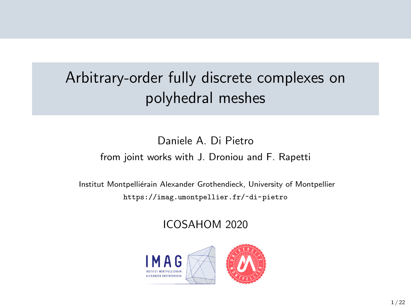## Arbitrary-order fully discrete complexes on polyhedral meshes

#### Daniele A. Di Pietro from joint works with J. Droniou and F. Rapetti

Institut Montpelliérain Alexander Grothendieck, University of Montpellier <https://imag.umontpellier.fr/~di-pietro>

ICOSAHOM 2020

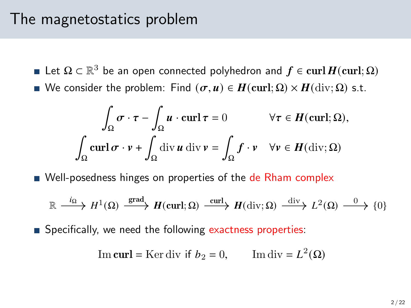#### The magnetostatics problem

- Let  $\Omega \subset \mathbb{R}^3$  be an open connected polyhedron and  $f \in {\rm curl}\, H({\rm curl};\Omega)$
- We consider the problem: Find  $(\sigma, u) \in H(\text{curl}; \Omega) \times H(\text{div}; \Omega)$  s.t.

$$
\int_{\Omega} \sigma \cdot \tau - \int_{\Omega} u \cdot \operatorname{curl} \tau = 0 \qquad \forall \tau \in H(\operatorname{curl}; \Omega),
$$

$$
\int_{\Omega} \operatorname{curl} \sigma \cdot v + \int_{\Omega} \operatorname{div} u \operatorname{div} v = \int_{\Omega} f \cdot v \quad \forall v \in H(\operatorname{div}; \Omega)
$$

Well-posedness hinges on properties of the de Rham complex

$$
\mathbb{R} \xrightarrow{i_{\Omega}} H^{1}(\Omega) \xrightarrow{\text{grad}} H(\text{curl};\Omega) \xrightarrow{\text{curl}} H(\text{div};\Omega) \xrightarrow{\text{div}} L^{2}(\Omega) \xrightarrow{0} \{0\}
$$

**Specifically, we need the following exactness properties:** 

Im curl = Ker div if 
$$
b_2 = 0
$$
, Im div =  $L^2(\Omega)$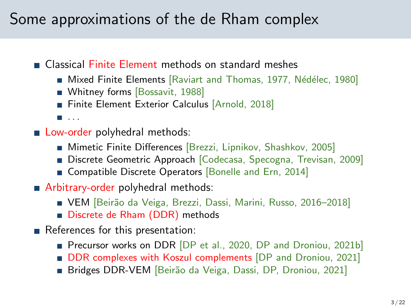### Some approximations of the de Rham complex

Classical Finite Element methods on standard meshes

- Mixed Finite Elements [\[Raviart and Thomas, 1977,](#page-21-0) Nédélec, 1980]
- Whitney forms [\[Bossavit, 1988\]](#page-20-0)
- Finite Element Exterior Calculus [\[Arnold, 2018\]](#page-20-1)
- $\blacksquare$ . . . .
- **Low-order polyhedral methods:** 
	- **Mimetic Finite Differences [Brezzi, Lipnikov, Shashkov, 2005]**
	- Discrete Geometric Approach [Codecasa, Specogna, Trevisan, 2009]
	- Gompatible Discrete Operators [\[Bonelle and Ern, 2014\]](#page-20-2)
- Arbitrary-order polyhedral methods:
	- VEM [Beirão da Veiga, Brezzi, Dassi, Marini, Russo, 2016-2018]
	- Discrete de Rham (DDR) methods
- References for this presentation:
	- Precursor works on DDR [\[DP et al., 2020,](#page-21-2) [DP and Droniou, 2021b\]](#page-20-3)
	- **DDR** complexes with Koszul complements [DP and Droniou, 2021]
	- Bridges DDR-VEM [Beirão da Veiga, Dassi, DP, Droniou, 2021]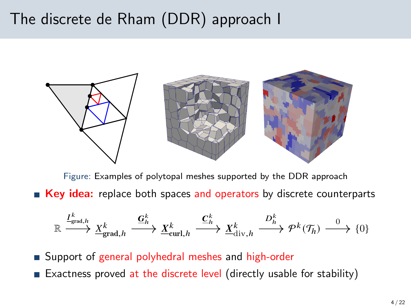### The discrete de Rham (DDR) approach I



Figure: Examples of polytopal meshes supported by the DDR approach **Key idea:** replace both spaces and operators by discrete counterparts

$$
\mathbb{R} \xrightarrow{I_{\text{grad},h}^k} \underline{X}_{\text{grad},h}^k \xrightarrow{\underline{G}_h^k} \underline{X}_{\text{curl},h}^k \xrightarrow{\underline{C}_h^k} \underline{X}_{\text{div},h}^k \xrightarrow{D_h^k} \mathcal{P}^k(\mathcal{T}_h) \xrightarrow{0} \{0\}
$$

■ Support of general polyhedral meshes and high-order

Exactness proved at the discrete level (directly usable for stability)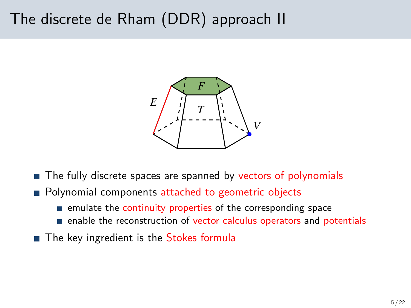### The discrete de Rham (DDR) approach II



- The fully discrete spaces are spanned by vectors of polynomials
- **Polynomial components attached to geometric objects** 
	- $\blacksquare$  emulate the continuity properties of the corresponding space
	- enable the reconstruction of vector calculus operators and potentials
- The key ingredient is the Stokes formula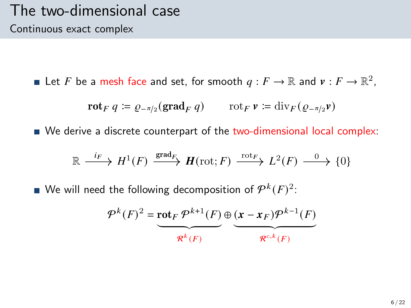Let F be a mesh face and set, for smooth  $q : F \to \mathbb{R}$  and  $v : F \to \mathbb{R}^2$ ,

$$
\mathbf{rot}_F q \coloneqq \varrho_{-\pi/2}(\mathbf{grad}_F q) \qquad \text{rot}_F \, \mathbf{v} \coloneqq \mathrm{div}_F (\varrho_{-\pi/2} \mathbf{v})
$$

We derive a discrete counterpart of the two-dimensional local complex:

$$
\mathbb{R} \xrightarrow{i_F} H^1(F) \xrightarrow{\text{grad}_F} H(\text{rot}; F) \xrightarrow{\text{rot}_F} L^2(F) \xrightarrow{0} \{0\}
$$

We will need the following decomposition of  $\mathcal{P}^k(F)^2$ :

$$
\mathcal{P}^k(F)^2 = \underbrace{\text{rot}_F \, \mathcal{P}^{k+1}(F)}_{\mathcal{R}^k(F)} \oplus \underbrace{(\mathbf{x} - \mathbf{x}_F) \mathcal{P}^{k-1}(F)}_{\mathcal{R}^{c,k}(F)}
$$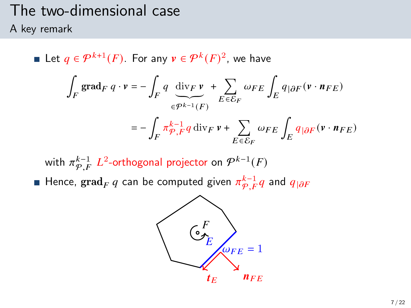# The two-dimensional case

A key remark

Let  $q \in \mathcal{P}^{k+1}(F)$ . For any  $v \in \mathcal{P}^k(F)^2$ , we have ∫  $\int\limits_F\, \mathrm{grad}_F\ q\cdot v = -\, \int\,$  $\int_F q \, \text{div}_F v$  $\widetilde{\epsilon^{p^{k-1}}(F)}$ + Õ  $E\overline{\epsilon}\overline{\mathcal{E}}_F$  $\omega_{FE}\int_E q_{|\partial F}(\mathbf{v}\cdot\mathbf{n}_{FE})$  $=-$  /  $\int_{F} \pi \frac{k-1}{\varphi} q \, \mathrm{div}_F \, \nu + \sum_{F \subset S}$  $E \overline{\epsilon} \overline{\mathcal{E}}_F$  $\omega_{FE} \int_E q_{|\partial F} (v \cdot n_{FE})$ 

with  $\pi^{k-1}_{\mathcal{P},F}$   $L^2$ -orthogonal projector on  $\mathcal{P}^{k-1}(F)$ Hence,  $\operatorname{grad}_F q$  can be computed given  $\pi^{k-1}_{\mathcal{P},F} q$  and  $q_{|\partial F}$ 

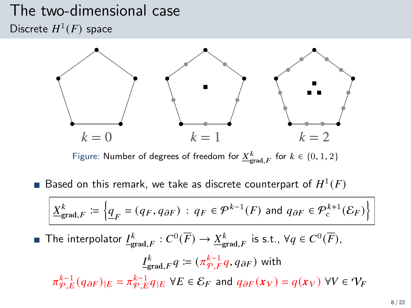#### The two-dimensional case Discrete  $H^1(F)$  space



Figure: Number of degrees of freedom for  $\underline{X}^k_{\text{grad},F}$  for  $k \in \{0,1,2\}$ 

Based on this remark, we take as discrete counterpart of  $H^1(F)$ 

$$
\underline{X}_{\text{grad},F}^k \coloneqq \left\{ \underline{q}_F = (q_F, q_{\partial F}) \, : \, q_F \in \mathcal{P}^{k-1}(F) \text{ and } q_{\partial F} \in \mathcal{P}^{k+1}_c(\mathcal{E}_F) \right\}
$$

The interpolator  $\underline{I^k_{\text{grad},F}}:C^0(\overline{F})\to \underline{X^k_{\text{grad},F}}$  is s.t.,  $\forall q\in C^0(\overline{F}),$ 

$$
\underline{I}_{\text{grad},F}^k q := (\pi_{\mathcal{P},F}^{k-1} q, q_{\partial F}) \text{ with}
$$
\n
$$
\pi_{\mathcal{P},E}^{k-1}(q_{\partial F})_{|E} = \pi_{\mathcal{P},E}^{k-1} q_{|E} \ \forall E \in \mathcal{E}_F \text{ and } q_{\partial F}(x_V) = q(x_V) \ \forall V \in \mathcal{V}_F
$$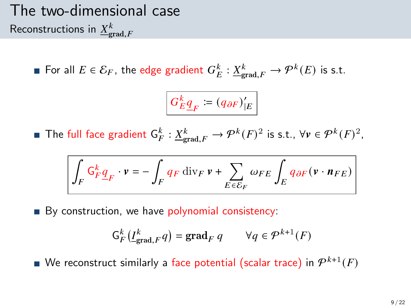## The two-dimensional case Reconstructions in  ${\underline X}^k_{\text{grad},F}$

For all  $E \in \mathcal{E}_F$ , the edge gradient  $G_E^k : \underline{X}_{\text{grad},F}^k \to \mathcal{P}^k(E)$  is s.t.

$$
G_E^k \underline{q}_F \coloneqq \left(q_{\partial F}\right)'_{|E}
$$

The full face gradient  $\mathsf{G}_{F}^k : \underline{X}_{\text{grad},F}^k \to \mathcal{P}^k(F)^2$  is s.t.,  $\forall v \in \mathcal{P}^k(F)^2$ ,

$$
\int_F \mathsf{G}^k_F \underline{q}_F \cdot v = - \int_F q_F \: \mathrm{div}_F \: v + \sum_{E \in \mathcal{E}_F} \omega_{FE} \int_E q_{\partial F} \big( v \cdot \textit{\textbf{n}}_{FE} \big)
$$

By construction, we have polynomial consistency:

$$
\mathsf{G}_{F}^{k}(\underline{I}_{\mathrm{grad},F}^{k}q)=\mathrm{grad}_{F} q \qquad \forall q \in \mathcal{P}^{k+1}(F)
$$

We reconstruct similarly a face potential (scalar trace) in  $\mathcal{P}^{k+1}(F)$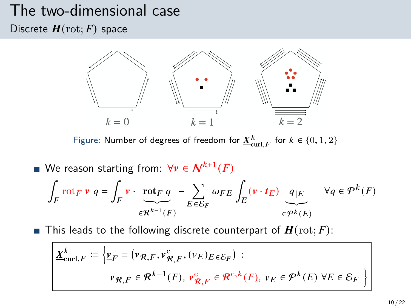## The two-dimensional case

Discrete  $H(\text{rot}; F)$  space



Figure: Number of degrees of freedom for  $\underline{X}^k_{\mathrm{curl},F}$  for  $k \in \{0,1,2\}$ 

We reason starting from:  $\forall v \in \mathcal{N}^{k+1}(F)$ ∫  $\int_{F}$ rot $_{F}$   $\mathbf{v}$   $q = \int_{F}$  $\int_F \mathbf{v} \cdot \mathbf{rot}_F q$  $\overline{a^{k-1}$  $\in \mathcal{R}^{k-1}(F)$ − Õ  $E\overline{\epsilon}\overline{\mathcal{E}}_F$  $\omega_{FE} \int_E (\mathbf{v} \cdot \mathbf{t}_E) \, d_E \left( \frac{\mathbf{q}}{E} \right) \, d_E \quad \forall q \in \mathcal{P}^k(F)$  $\widetilde{\epsilon^{pk}(E)}$ 

**This leads to the following discrete counterpart of**  $H(\text{rot}; F)$ **:** 

$$
\underline{X}_{\text{curl},F}^{k} \coloneqq \left\{ \underline{v}_{F} = (\nu_{\mathcal{R},F}, \nu_{\mathcal{R},F}^{c}, (\nu_{E})_{E \in \mathcal{E}_{F}}) : \right.
$$
\n
$$
\nu_{\mathcal{R},F} \in \mathcal{R}^{k-1}(F), \nu_{\mathcal{R},F}^{c} \in \mathcal{R}^{c,k}(F), \nu_{E} \in \mathcal{P}^{k}(E) \,\forall E \in \mathcal{E}_{F} \right\}
$$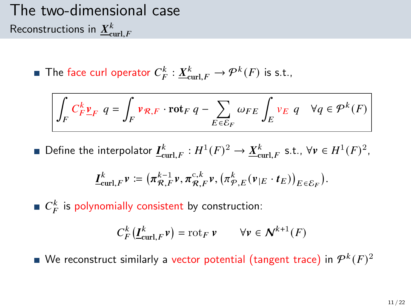## The two-dimensional case Reconstructions in  $\underline{X}^k_{\textnormal{curl},F}$

The face curl operator  $C_F^k : \underline{X}_{\text{curl},F}^k \to \mathcal{P}^k(F)$  is s.t.,

$$
\int_{F} C_{F}^{k} \underline{v}_{F} \ q = \int_{F} \nu_{\mathcal{R},F} \cdot \mathrm{rot}_{F} \ q - \sum_{E \in \mathcal{E}_{F}} \omega_{FE} \int_{E} \nu_{E} \ q \quad \forall q \in \mathcal{P}^{k}(F)
$$

Define the interpolator  $\underline{I}^k_{\text{curl},F} : H^1(F)^2 \to \underline{X}^k_{\text{curl},F}$  s.t.,  $\forall v \in H^1(F)^2$ ,

$$
\underline{I}^k_{\operatorname{curl},F}v\coloneqq\big(\pi^{{k-1}}_{\mathcal{R},F}v,\pi^{{\mathrm{c}},k}_{\mathcal{R},F}v,\big(\pi^k_{\mathcal{P},E}(v_{|E}\cdot t_E)\big)_{E\in\mathcal{E}_F}\big).
$$

 $C_F^k$  is polynomially consistent by construction:

$$
C_F^k(\underline{I}^k_{\operatorname{curl},F}\nu)=\operatorname{rot}_F\nu\qquad\forall\nu\in\textbf{\textit{N}}^{k+1}(F)
$$

We reconstruct similarly a vector potential (tangent trace) in  $\mathcal{P}^k(F)^2$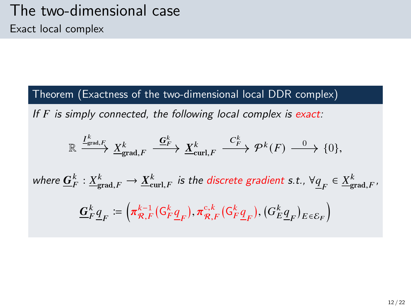Theorem (Exactness of the two-dimensional local DDR complex)

If  $F$  is simply connected, the following local complex is exact:

$$
\mathbb{R} \xrightarrow{\underline{I_{\text{grad},F}^k}} \underline{X_{\text{grad},F}^k} \xrightarrow{\underline{G_F^k}} \underline{X_{\text{curl},F}^k} \xrightarrow{C_F^k} \mathcal{P}^k(F) \xrightarrow{0} \{0\},
$$

where  $\underline{G}^k_F: \underline{X}^k_{\text{grad},F} \to \underline{X}^k_{\text{curl},F}$  is the discrete gradient s.t.,  $\forall \underline{q}_F \in \underline{X}^k_{\text{grad},F}$ ,

$$
\mathbf{\underline{G}}_F^k \underline{\underline{q}}_F \coloneqq \left( \pi_{\mathcal{R},F}^{k-1} ( \mathsf{G}_F^k \underline{\underline{q}}_F ), \pi_{\mathcal{R},F}^{c,k} ( \mathsf{G}_F^k \underline{\underline{q}}_F ), ( \mathsf{G}_E^k \underline{\underline{q}}_F )_{E \in \mathcal{E}_F} \right)
$$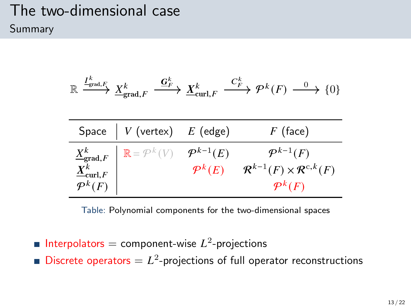### The two-dimensional case Summary

$$
\mathbb{R} \xrightarrow{I^k_{\text{grad},F}} \underline{X}^k_{\text{grad},F} \xrightarrow{\underline{G}^k_{F}} \underline{X}^k_{\text{curl},F} \xrightarrow{C^k_{F}} \mathcal{P}^k(F) \xrightarrow{0} \{0\}
$$

| Space $\mid V$ (vertex) $E$ (edge)                                                                                                                                       |                                              | $F$ (face)                                                                                         |
|--------------------------------------------------------------------------------------------------------------------------------------------------------------------------|----------------------------------------------|----------------------------------------------------------------------------------------------------|
| $\left\{ \begin{array}{l} \underline{X}^k_{\mathsf{grad},F} \ \underline{X}^k_{\mathsf{curl},F} \ \mathcal{P}^k(F) \end{array} \right\} \ \mathbb{R} = \mathcal{P}^k(V)$ | $\mathcal{P}^{k-1}(E)$<br>$\mathcal{P}^k(E)$ | $\mathcal{P}^{k-1}(F)$<br>$\mathcal{R}^{k-1}(F) \times \mathcal{R}^{c,k}(F)$<br>$\mathcal{P}^k(F)$ |

Table: Polynomial components for the two-dimensional spaces

- Interpolators = component-wise  $L^2$ -projections
- Discrete operators  $= L<sup>2</sup>$ -projections of full operator reconstructions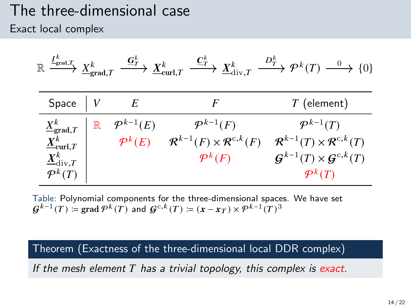#### The three-dimensional case Exact local complex

| $I_{\text{grad},T_k}^k$<br>$\mathbb{R}$                                                                                                  | $X^k$<br>$\triangleq$ grad, T | $\stackrel{\mathbf{G}^k_{T}}{\longrightarrow} \underline{X}^k_{\mathrm{curl}, T}$ | $\stackrel{\underline{\boldsymbol{C}}_T^k}{\longrightarrow} \underline{X}^k_{\mathrm{div},T}$      | $\stackrel{D_F^k}{\longrightarrow} \mathcal{P}^k(T) \stackrel{0}{\longrightarrow} \{0\}$                                                              |
|------------------------------------------------------------------------------------------------------------------------------------------|-------------------------------|-----------------------------------------------------------------------------------|----------------------------------------------------------------------------------------------------|-------------------------------------------------------------------------------------------------------------------------------------------------------|
| Space                                                                                                                                    |                               | E                                                                                 | F                                                                                                  | $T$ (element)                                                                                                                                         |
| $\underline{X}^k_{\text{grad},T}$<br>$\underline{X}^k_{\textnormal{curl},T}$<br>$\underline{X}^k_{\mathrm{div},T}$<br>$\mathcal{P}^k(T)$ | $\mathbb R$                   | $\mathcal{P}^{k-1}(E)$<br>$\mathcal{P}^k(E)$                                      | $\mathcal{P}^{k-1}(F)$<br>$\mathcal{R}^{k-1}(F) \times \mathcal{R}^{c,k}(F)$<br>$\mathcal{P}^k(F)$ | $\mathcal{P}^{k-1}(T)$<br>$\mathcal{R}^{k-1}(T)\times \mathcal{R}^{c,k}(T)$<br>$\mathcal{G}^{k-1}(T)\times\mathcal{G}^{c,k}(T)$<br>$\mathcal{P}^k(T)$ |

Table: Polynomial components for the three-dimensional spaces. We have set  $\boldsymbol{G}^{k-1}(T)\coloneqq\mathop{\mathrm{grad}}\nolimits\mathcal{P}^k(T)$  and  $\boldsymbol{G}^{\mathrm{c},k}(T)\coloneqq(\boldsymbol{x}-\boldsymbol{x}_T)\times\mathcal{P}^{k-1}(T)^3$ 

Theorem (Exactness of the three-dimensional local DDR complex)

If the mesh element  $T$  has a trivial topology, this complex is exact.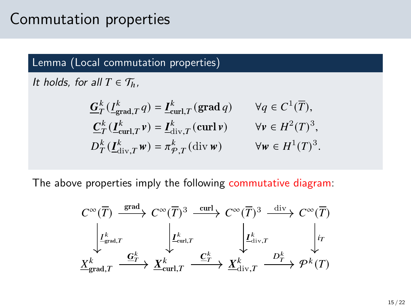### Commutation properties

#### Lemma (Local commutation properties)

It holds, for all  $T \in \mathcal{T}_h$ ,

$$
\begin{aligned}\n\underline{G}_{T}^{k}\left(\underline{I}_{\text{grad},T}^{k}q\right) &= \underline{I}_{\text{curl},T}^{k}\left(\text{grad }q\right) & \forall q \in C^{1}(\overline{T}), \\
\underline{C}_{T}^{k}\left(\underline{I}_{\text{curl},T}^{k}v\right) &= \underline{I}_{\text{div},T}^{k}\left(\text{curl }v\right) & \forall v \in H^{2}(T)^{3}, \\
D_{T}^{k}\left(\underline{I}_{\text{div},T}^{k}w\right) &= \pi_{\mathcal{P},T}^{k}\left(\text{div }w\right) & \forall w \in H^{1}(T)^{3}.\n\end{aligned}
$$

The above properties imply the following commutative diagram:

$$
C^{\infty}(\overline{T}) \xrightarrow{\text{grad}} C^{\infty}(\overline{T})^3 \xrightarrow{\text{curl}} C^{\infty}(\overline{T})^3 \xrightarrow{\text{div}} C^{\infty}(\overline{T})^3
$$
  

$$
\downarrow L_{\text{grad},T}^k \qquad \downarrow L_{\text{curl},T}^k \qquad \downarrow L_{\text{div},T}^k \qquad \downarrow \text{int}
$$
  

$$
\underline{X}_{\text{grad},T}^k \xrightarrow{\underline{G}_T^k} \underline{X}_{\text{curl},T}^k \xrightarrow{\underline{C}_T^k} \underline{X}_{\text{div},T}^k \xrightarrow{D_T^k} \mathcal{P}^k(T)
$$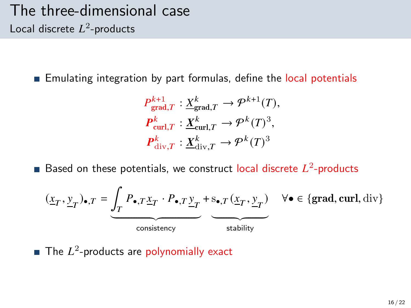#### The three-dimensional case Local discrete  $L^2$ -products

**Emulating integration by part formulas, define the local potentials** 

$$
P_{\text{grad},T}^{k+1} : \underline{X}_{\text{grad},T}^{k} \to \mathcal{P}^{k+1}(T),
$$
  

$$
P_{\text{curl},T}^{k} : \underline{X}_{\text{curl},T}^{k} \to \mathcal{P}^{k}(T)^{3},
$$
  

$$
P_{\text{div},T}^{k} : \underline{X}_{\text{div},T}^{k} \to \mathcal{P}^{k}(T)^{3}
$$

Based on these potentials, we construct local discrete  $L^2$ -products

$$
(\underline{x}_T, \underline{y}_T)_{\bullet, T} = \underbrace{\int_T P_{\bullet, T} \underline{x}_T \cdot P_{\bullet, T} \underline{y}_T}_{\text{consistency}} + \underbrace{s_{\bullet, T} (\underline{x}_T, \underline{y}_T)}_{\text{stability}} \quad \forall \bullet \in \{\text{grad}, \text{curl}, \text{div}\}
$$

The  $L^2$ -products are polynomially exact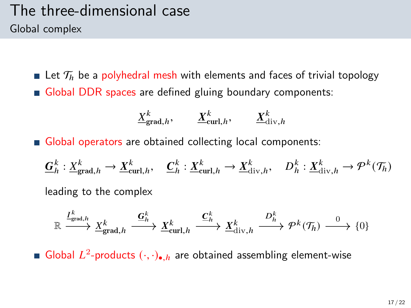#### The three-dimensional case Global complex

**Let**  $\mathcal{T}_h$  be a polyhedral mesh with elements and faces of trivial topology Global DDR spaces are defined gluing boundary components:

$$
\underline{X}_{\text{grad},h}^k, \qquad \underline{X}_{\text{curl},h}^k, \qquad \underline{X}_{\text{div},h}^k
$$

Global operators are obtained collecting local components:

$$
\underline{G}_h^k: \underline{X}_{\text{grad},h}^k \to \underline{X}_{\text{curl},h}^k, \quad \underline{C}_h^k: \underline{X}_{\text{curl},h}^k \to \underline{X}_{\text{div},h}^k, \quad D_h^k: \underline{X}_{\text{div},h}^k \to \mathcal{P}^k(\mathcal{T}_h)
$$

leading to the complex

$$
\mathbb{R} \xrightarrow{I^k_{\text{grad},h}} \underline{X}^k_{\text{grad},h} \xrightarrow{\underline{\mathbf{G}}^k_h} \underline{X}^k_{\text{curl},h} \xrightarrow{\underline{\mathbf{C}}^k_h} \underline{X}^k_{\text{div},h} \xrightarrow{D^k_h} \mathcal{P}^k(\mathcal{T}_h) \xrightarrow{0} \{0\}
$$

Global  $L^2$ -products  $(\cdot, \cdot)_{\bullet, h}$  are obtained assembling element-wise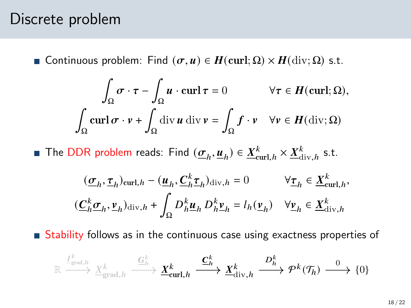#### Discrete problem

**■** Continuous problem: Find  $(σ, u) ∈ H$ (curl; Ω) ×  $H$ (div; Ω) s.t.

$$
\int_{\Omega} \sigma \cdot \tau - \int_{\Omega} u \cdot \operatorname{curl} \tau = 0 \qquad \forall \tau \in H(\operatorname{curl}; \Omega),
$$

$$
\int_{\Omega} \operatorname{curl} \sigma \cdot v + \int_{\Omega} \operatorname{div} u \operatorname{div} v = \int_{\Omega} f \cdot v \quad \forall v \in H(\operatorname{div}; \Omega)
$$

The DDR problem reads: Find  $(\underline{\sigma}_h, \underline{u}_h) \in \underline{X}_{\text{curl},h}^k \times \underline{X}_{\text{div},h}^k$  s.t.

$$
\begin{aligned} &\quad (\underline{\sigma}_h,\underline{\tau}_h)_{\mathrm{curl},h}-(\underline{u}_h,\underline{C}_h^k\underline{\tau}_h)_{\mathrm{div},h}=0 &&\forall \underline{\tau}_h\in \underline{X}^k_{\mathrm{curl},h},\\ &(\underline{C}_h^k\underline{\sigma}_h,\underline{\nu}_h)_{\mathrm{div},h}+\int_\Omega D_h^k\underline{u}_h\,D_h^k\underline{\nu}_h=l_h(\underline{\nu}_h) &&\forall \underline{\nu}_h\in \underline{X}^k_{\mathrm{div},h} \end{aligned}
$$

Stability follows as in the continuous case using exactness properties of

$$
\mathbb{R} \xrightarrow{\frac{I^k}{\text{grad},h}} \frac{X^k}{\underline{X}_{\text{grad},h}^k} \xrightarrow{\underline{G^k_h}} \underline{X}^k_{\text{curl},h} \xrightarrow{\underline{C^k_h}} \underline{X}^k_{\text{div},h} \xrightarrow{D^k_h} \mathcal{P}^k(\mathcal{T}_h) \xrightarrow{0} \{0\}
$$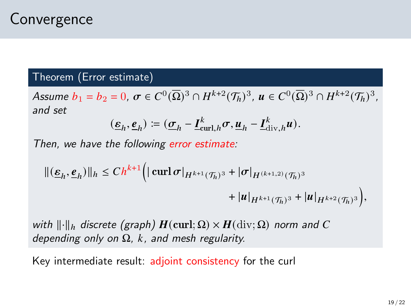### **Convergence**

#### Theorem (Error estimate)

Assume  $b_1 = b_2 = 0$ ,  $\sigma \in C^0(\overline{\Omega})^3 \cap H^{k+2}(\mathcal{T}_h)^3$ ,  $u \in C^0(\overline{\Omega})^3 \cap H^{k+2}(\mathcal{T}_h)^3$ , and set

$$
(\underline{\boldsymbol{\epsilon}}_h, \underline{\boldsymbol{\epsilon}}_h) \coloneqq (\underline{\boldsymbol{\sigma}}_h - \underline{\boldsymbol{I}}_{\operatorname{curl},h}^k \boldsymbol{\sigma}, \underline{\boldsymbol{u}}_h - \underline{\boldsymbol{I}}_{\operatorname{div},h}^k \boldsymbol{u}).
$$

Then, we have the following error estimate:

$$
\begin{aligned} ||(\underline{\varepsilon}_h,\underline{e}_h)||_h &\leq Ch^{k+1} \Big( |\operatorname{curl} \sigma|_{H^{k+1}(\mathcal{T}_h)^3} + |\sigma|_{H^{(k+1,2)}(\mathcal{T}_h)^3} \\ &+ |u|_{H^{k+1}(\mathcal{T}_h)^3} + |u|_{H^{k+2}(\mathcal{T}_h)^3} \Big), \end{aligned}
$$

with  $\lVert \cdot \rVert_h$  discrete (graph)  $H(\text{curl}; \Omega) \times H(\text{div}; \Omega)$  norm and C depending only on  $\Omega$ , k, and mesh regularity.

Key intermediate result: adjoint consistency for the curl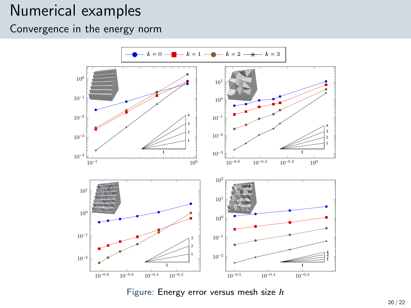### Numerical examples

Convergence in the energy norm

<span id="page-19-0"></span>

Figure: Energy error versus mesh size  $h$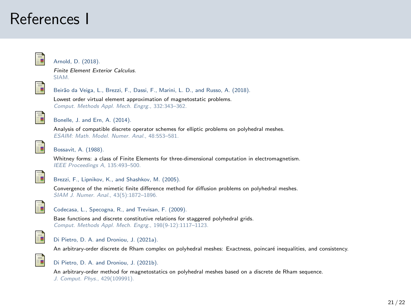### References I

<span id="page-20-1"></span>

#### Arnold, D. (2018).

Finite Element Exterior Calculus. SIAM.



Beirão da Veiga, L., Brezzi, F., Dassi, F., Marini, L. D., and Russo, A. (2018).

Lowest order virtual element approximation of magnetostatic problems. Comput. Methods Appl. Mech. Engrg., 332:343–362.

<span id="page-20-2"></span>

Bonelle, J. and Ern, A. (2014).

Analysis of compatible discrete operator schemes for elliptic problems on polyhedral meshes. ESAIM: Math. Model. Numer. Anal., 48:553–581.

<span id="page-20-0"></span>

#### Bossavit, A. (1988).

Whitney forms: a class of Finite Elements for three-dimensional computation in electromagnetism. IEEE Proceedings A, 135:493–500.



#### Brezzi, F., Lipnikov, K., and Shashkov, M. (2005).

Convergence of the mimetic finite difference method for diffusion problems on polyhedral meshes. SIAM J. Numer. Anal., 43(5):1872–1896.



#### Codecasa, L., Specogna, R., and Trevisan, F. (2009).

Base functions and discrete constitutive relations for staggered polyhedral grids. Comput. Methods Appl. Mech. Engrg., 198(9-12):1117–1123.



#### Di Pietro, D. A. and Droniou, J. (2021a).

An arbitrary-order discrete de Rham complex on polyhedral meshes: Exactness, poincaré inequalities, and consistency.

<span id="page-20-3"></span>

#### Di Pietro, D. A. and Droniou, J. (2021b).

An arbitrary-order method for magnetostatics on polyhedral meshes based on a discrete de Rham sequence. J. Comput. Phys., 429(109991).